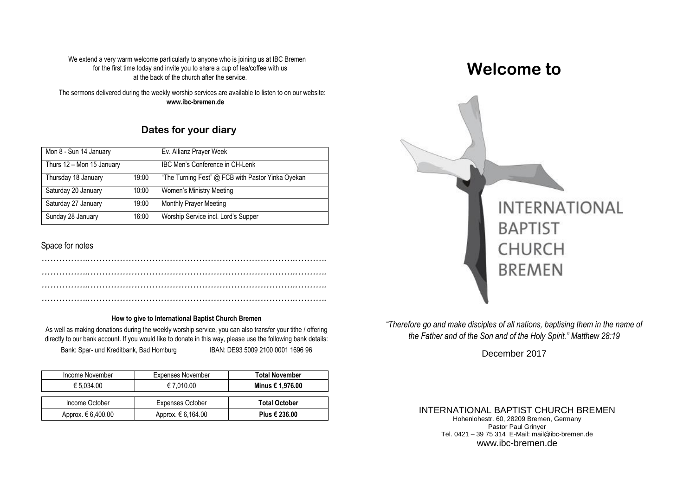We extend a very warm welcome particularly to anyone who is joining us at IBC Bremen for the first time today and invite you to share a cup of tea/coffee with us at the back of the church after the service.

The sermons delivered during the weekly worship services are available to listen to on our website: **www.ibc-bremen.de**

# **Dates for your diary**

| Mon 8 - Sun 14 January    |       | Ev. Allianz Prayer Week                           |
|---------------------------|-------|---------------------------------------------------|
| Thurs 12 - Mon 15 January |       | IBC Men's Conference in CH-Lenk                   |
| Thursday 18 January       | 19:00 | "The Turning Fest" @ FCB with Pastor Yinka Oyekan |
| Saturday 20 January       | 10:00 | Women's Ministry Meeting                          |
| Saturday 27 January       | 19:00 | <b>Monthly Prayer Meeting</b>                     |
| Sunday 28 January         | 16:00 | Worship Service incl. Lord's Supper               |

#### Space for notes

#### **How to give to International Baptist Church Bremen**

<u>iow to give to international baptist ontion benefit</u><br>As well as making donations during the weekly worship service, you can also transfer your tithe / offering directly to our bank account. If you would like to donate in this way, please use the following bank details: Bank: Spar- und Kreditbank, Bad Homburg IBAN: DE93 5009 2100 0001 1696 96

| Income November      | <b>Expenses November</b> | <b>Total November</b> |
|----------------------|--------------------------|-----------------------|
| € 5.034.00           | € 7.010.00               | Minus € 1,976.00      |
|                      |                          |                       |
| Income October       | <b>Expenses October</b>  | <b>Total October</b>  |
| Approx. $€ 6,400.00$ | Approx. € 6,164.00       | Plus € 236.00         |

# **Welcome to**



*"Therefore go and make disciples of all nations, baptising them in the name of the Father and of the Son and of the Holy Spirit." Matthew 28:19*

December 2017

#### INTERNATIONAL BAPTIST CHURCH BREMEN

Hohenlohestr. 60, 28209 Bremen, Germany Pastor Paul Grinyer Tel. 0421 – 39 75 314 E-Mail: mail@ibc-bremen.de www.ibc-bremen.de